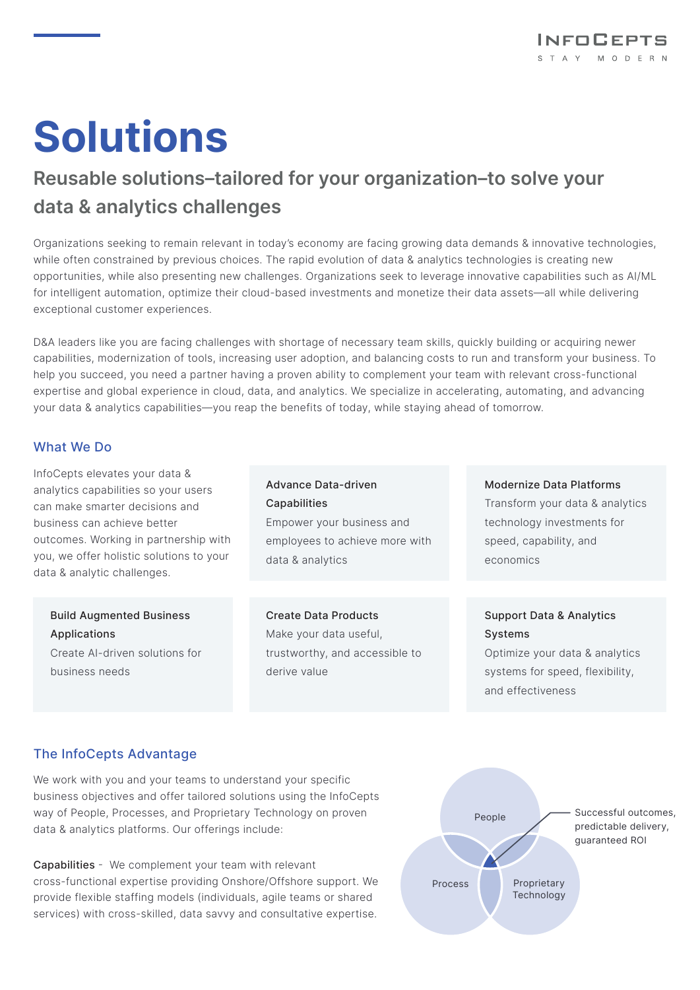# **Solutions**

# **Reusable solutions–tailored for your organization–to solve your data & analytics challenges**

Organizations seeking to remain relevant in today's economy are facing growing data demands & innovative technologies, while often constrained by previous choices. The rapid evolution of data & analytics technologies is creating new opportunities, while also presenting new challenges. Organizations seek to leverage innovative capabilities such as AI/ML for intelligent automation, optimize their cloud-based investments and monetize their data assets—all while delivering exceptional customer experiences.

D&A leaders like you are facing challenges with shortage of necessary team skills, quickly building or acquiring newer capabilities, modernization of tools, increasing user adoption, and balancing costs to run and transform your business. To help you succeed, you need a partner having a proven ability to complement your team with relevant cross-functional expertise and global experience in cloud, data, and analytics. We specialize in accelerating, automating, and advancing your data & analytics capabilities—you reap the benefits of today, while staying ahead of tomorrow.

#### What We Do

InfoCepts elevates your data & analytics capabilities so your users can make smarter decisions and business can achieve better outcomes. Working in partnership with you, we offer holistic solutions to your data & analytic challenges.

#### Build Augmented Business Applications Create AI-driven solutions for business needs

Advance Data-driven Capabilities Empower your business and employees to achieve more with data & analytics

Create Data Products Make your data useful, trustworthy, and accessible to derive value

Modernize Data Platforms Transform your data & analytics technology investments for speed, capability, and economics

### Support Data & Analytics Systems

Optimize your data & analytics systems for speed, flexibility, and effectiveness

## The InfoCepts Advantage

We work with you and your teams to understand your specific business objectives and offer tailored solutions using the InfoCepts way of People, Processes, and Proprietary Technology on proven data & analytics platforms. Our offerings include:

Capabilities - We complement your team with relevant cross-functional expertise providing Onshore/Offshore support. We provide flexible staffing models (individuals, agile teams or shared services) with cross-skilled, data savvy and consultative expertise.